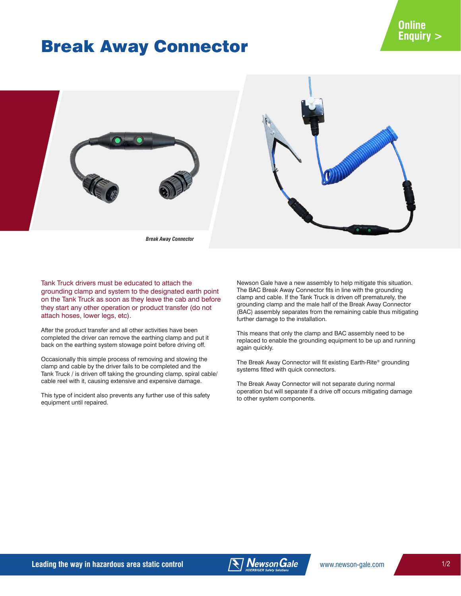# Break Away Connector



*Break Away Connector*

Tank Truck drivers must be educated to attach the grounding clamp and system to the designated earth point on the Tank Truck as soon as they leave the cab and before they start any other operation or product transfer (do not attach hoses, lower legs, etc).

After the product transfer and all other activities have been completed the driver can remove the earthing clamp and put it back on the earthing system stowage point before driving off.

Occasionally this simple process of removing and stowing the clamp and cable by the driver fails to be completed and the Tank Truck / is driven off taking the grounding clamp, spiral cable/ cable reel with it, causing extensive and expensive damage.

This type of incident also prevents any further use of this safety equipment until repaired.

Newson Gale have a new assembly to help mitigate this situation. The BAC Break Away Connector fits in line with the grounding clamp and cable. If the Tank Truck is driven off prematurely, the grounding clamp and the male half of the Break Away Connector (BAC) assembly separates from the remaining cable thus mitigating further damage to the installation.

This means that only the clamp and BAC assembly need to be replaced to enable the grounding equipment to be up and running again quickly.

The Break Away Connector will fit existing Earth-Rite® grounding systems fitted with quick connectors.

The Break Away Connector will not separate during normal operation but will separate if a drive off occurs mitigating damage to other system components.